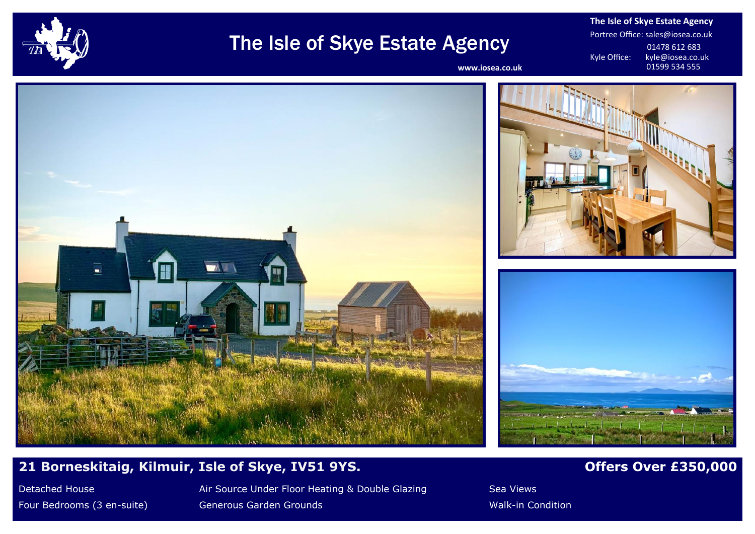

# The Isle of Skye Estate Agency

**The Isle of Skye Estate Agency** Portree Office: sales@iosea.co.uk 01478 612 683<br>Kyle Office: kyle@iosea.co.u kyle@iosea.co.uk<br>01599 534 555

www.iosea.co.uk



# **21 Borneskitaig, Kilmuir, Isle of Skye, IV51 9YS. <b>Details a set of the State of Australian Control Control of F**

Detached House **Air Source Under Floor Heating & Double Glazing** Sea Views Four Bedrooms (3 en-suite) Generous Garden Grounds Walk-in Condition Walk-in Condition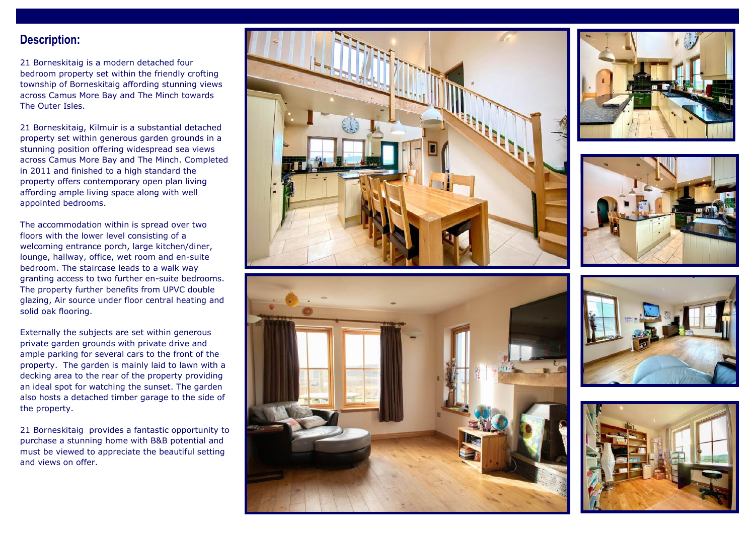### **Description:**

21 Borneskitaig is a modern detached four bedroom property set within the friendly crofting township of Borneskitaig affording stunning views across Camus More Bay and The Minch towards The Outer Isles.

21 Borneskitaig, Kilmuir is a substantial detached property set within generous garden grounds in a stunning position offering widespread sea views across Camus More Bay and The Minch. Completed in 2011 and finished to a high standard the property offers contemporary open plan living affording ample living space along with well appointed bedrooms.

The accommodation within is spread over two floors with the lower level consisting of a welcoming entrance porch, large kitchen/diner, lounge, hallway, office, wet room and en-suite bedroom. The staircase leads to a walk way granting access to two further en-suite bedrooms. The property further benefits from UPVC double glazing, Air source under floor central heating and solid oak flooring.

Externally the subjects are set within generous private garden grounds with private drive and ample parking for several cars to the front of the property. The garden is mainly laid to lawn with a decking area to the rear of the property providing an ideal spot for watching the sunset. The garden also hosts a detached timber garage to the side of the property.

21 Borneskitaig provides a fantastic opportunity to purchase a stunning home with B&B potential and must be viewed to appreciate the beautiful setting and views on offer.











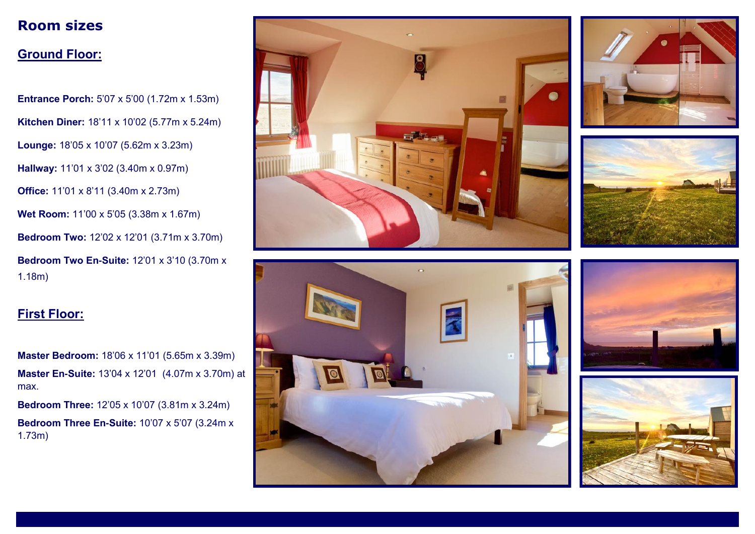# **Room sizes**

## **Ground Floor:**

**Entrance Porch:** 5'07 x 5'00 (1.72m x 1.53m) **Kitchen Diner:** 18'11 x 10'02 (5.77m x 5.24m) **Lounge:** 18'05 x 10'07 (5.62m x 3.23m) **Hallway:** 11'01 x 3'02 (3.40m x 0.97m) **Office:** 11'01 x 8'11 (3.40m x 2.73m) **Wet Room:** 11'00 x 5'05 (3.38m x 1.67m) **Bedroom Two:** 12'02 x 12'01 (3.71m x 3.70m) **Bedroom Two En-Suite:** 12'01 x 3'10 (3.70m x 1.18m)

# **First Floor:**

**Master Bedroom:** 18'06 x 11'01 (5.65m x 3.39m) **Master En-Suite:** 13'04 x 12'01 (4.07m x 3.70m) at max.

**Bedroom Three:** 12'05 x 10'07 (3.81m x 3.24m) **Bedroom Three En-Suite:** 10'07 x 5'07 (3.24m x 1.73m)